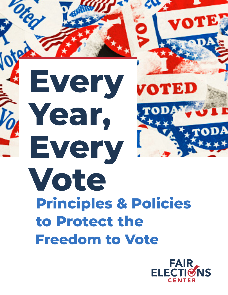10 **Every**  VOTEI **Year, Every Vote Principles & Policies to Protect the Freedom to Vote**

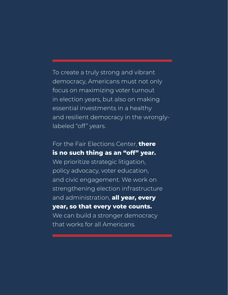To create a truly strong and vibrant democracy, Americans must not only focus on maximizing voter turnout in election years, but also on making essential investments in a healthy and resilient democracy in the wronglylabeled "off" years.

### For the Fair Elections Center, **there is no such thing as an "off" year.**

We prioritize strategic litigation, policy advocacy, voter education, and civic engagement. We work on strengthening election infrastructure and administration, **all year, every year, so that every vote counts.** We can build a stronger democracy that works for all Americans.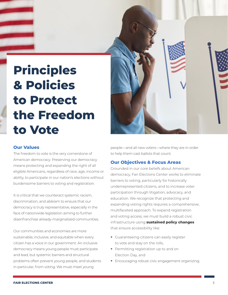# **Principles & Policies to Protect the Freedom to Vote**

#### **Our Values**

The freedom to vote is the very cornerstone of American democracy. Preserving our democracy means protecting and expanding the right of all eligible Americans, regardless of race, age, income or ability, to participate in our nation's elections without burdensome barriers to voting and registration.

It is critical that we counteract systemic racism, discrimination, and ableism to ensure that our democracy is truly representative, especially in the face of nationwide legislation aiming to further disenfranchise already-marginalized communities.

Our communities and economies are more sustainable, inclusive, and equitable when every citizen has a voice in our government. An inclusive democracy means young people must participate and lead, but systemic barriers and structural problems often prevent young people, and students in particular, from voting. We must meet young



people—and all new voters—where they are in order to help them cast ballots that count.

#### **Our Objectives & Focus Areas**

Grounded in our core beliefs about American democracy, Fair Elections Center works to eliminate barriers to voting, particularly for historically underrepresented citizens, and to increase voter participation through litigation, advocacy, and education. We recognize that protecting and expanding voting rights requires a comprehensive, multifaceted approach. To expand registration and voting access, we must build a robust civic infrastructure using **sustained policy changes** that ensure accessibility like:

- **•** Guaranteeing citizens can easily register to vote and stay on the rolls,
- **•** Permitting registration up to and on Election Day, and
- **•** Encouraging robust civic engagement organizing.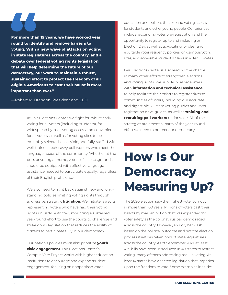**For more than 15 years, we have worked year round to identify and remove barriers to voting. With a new wave of attacks on voting in state legislatures across the country, and a debate over federal voting rights legislation that will help determine the future of our democracy, our work to maintain a robust, sustained effort to protect the freedom of all eligible Americans to cast their ballot is more important than ever."**

—Robert M. Brandon, President and CEO

At Fair Elections Center, we fight for robust early voting for all voters (including students), for widespread by-mail voting access and convenience for all voters, as well as for voting sites to be equitably selected, accessible, and fully-staffed with well-trained, tech-savvy poll workers who meet the language needs of the community. Whether at the polls or voting at home, voters of all backgrounds should be equipped with effective language assistance needed to participate equally, regardless of their English proficiency.

We also need to fight back against new and longstanding policies limiting voting rights through aggressive, strategic **litigation**. We initiate lawsuits representing voters who have had their voting rights unjustly restricted, mounting a sustained, year-round effort to use the courts to challenge and strike down legislation that reduces the ability of citizens to participate fully in our democracy.

Our nation's policies must also prioritize **youth civic engagement**. Fair Elections Center's Campus Vote Project works with higher education institutions to encourage and expand student engagement, focusing on nonpartisan voter

education and policies that expand voting access for students and other young people. Our priorities include: expanding voter pre-registration and the opportunity to register up to and including on Election Day, as well as advocating for clear and equitable voter residency policies, on-campus voting sites, and accessible student ID laws in voter ID states.

Fair Elections Center is also leading the charge in many other efforts to strengthen elections and voting rights. We supply local organizers with **information and technical assistance** to help facilitate their efforts to register diverse communities of voters, including our accurate and digestible 50-state voting guides and voter registration drive guides, as well as **training and recruiting poll workers** nationwide. All of these strategies are essential parts of the year-round effort we need to protect our democracy.

### **How Is Our Democracy Measuring Up?**

The 2020 election saw the highest voter turnout in more than 100 years. Millions of voters cast their ballots by mail, an option that was expanded for voter safety as the coronavirus pandemic raged across the country. However, an ugly backlash based on the political outcome and not the election process itself has taken hold of state legislatures across the country. As of September 2021, at least 425 bills have been introduced in 49 states to restrict voting, many of them addressing mail-in voting. At least 14 states have enacted legislation that impedes upon the freedom to vote. Some examples include: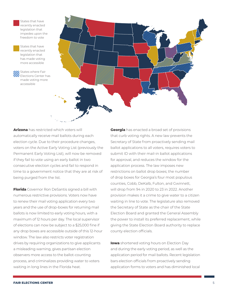States that have recently enacted legislation that impedes upon the freedom to vote

States that have recently enacted legislation that has made voting more accessible

States where Fair Elections Center has made voting more accessible



**Arizona** has restricted which voters will automatically receive mail ballots during each election cycle. Due to their procedure changes, voters on the Active Early Voting List (previously the Permanent Early Voting List), will now be removed if they fail to vote using an early ballot in two consecutive election cycles and fail to respond in time to a government notice that they are at risk of being purged from the list.

**Florida** Governor Ron DeSantis signed a bill with numerous restrictive provisions. Voters now have to renew their mail voting application every two years and the use of drop-boxes for returning mail ballots is now limited to early voting hours, with a maximum of 12 hours per day. The local supervisor of elections can now be subject to a \$25,000 fine if any drop boxes are accessible outside of this 12-hour window. The law also restricts voter registration drives by requiring organizations to give applicants a misleading warning, gives partisan election observers more access to the ballot-counting process, and criminalizes providing water to voters waiting in long lines in the Florida heat.

**Georgia** has enacted a broad set of provisions that curb voting rights. A new law prevents the Secretary of State from proactively sending mail ballot applications to all voters, requires voters to submit ID with their mail-in ballot applications for approval, and reduces the window for the application process. The law imposes new restrictions on ballot drop boxes; the number of drop boxes for Georgia's four most populous counties, Cobb, DeKalb, Fulton, and Gwinnett, will drop from 94 in 2020 to 23 in 2022. Another provision makes it a crime to give water to a citizen waiting in line to vote. The legislature also removed the Secretary of State as the chair of the State Election Board and granted the General Assembly the power to install its preferred replacement, while giving the State Election Board authority to replace county election officials.

**Iowa** shortened voting hours on Election Day and during the early voting period, as well as the application period for mail ballots. Recent legislation bars election officials from proactively sending application forms to voters and has diminished local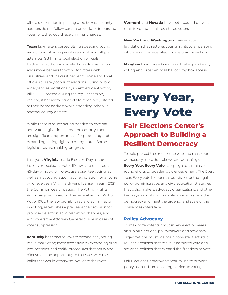officials' discretion in placing drop boxes. If county auditors do not follow certain procedures in purging voter rolls, they could face criminal charges.

**Texas** lawmakers passed SB 1, a sweeping voting restrictions bill, in a special session after multiple attempts. SB 1 limits local election officials' traditional authority over election administration, adds more barriers to voting for voters with disabilities, and makes it harder for state and local officials to safely conduct elections during public emergencies. Additionally, an anti-student voting bill, SB 1111, passed during the regular session, making it harder for students to remain registered at their home address while attending school in another county or state.

While there is much action needed to combat anti-voter legislation across the country, there are significant opportunities for protecting and expanding voting rights in many states. Some legislatures are making progress:

Last year, **Virginia** made Election Day a state holiday, repealed its voter ID law, and enacted a 45-day window of no-excuse absentee voting, as well as instituting automatic registration for anyone who receives a Virginia driver's license. In early 2021, the Commonwealth passed The Voting Rights Act of Virginia. Based on the federal Voting Rights Act of 1965, the law prohibits racial discrimination in voting, establishes a preclearance provision for proposed election administration changes, and empowers the Attorney General to sue in cases of voter suppression.

**Kentucky** has enacted laws to expand early voting, make mail voting more accessible by expanding drop box locations, and codify procedures that notify and offer voters the opportunity to fix issues with their ballot that would otherwise invalidate their vote.

**Vermont** and **Nevada** have both passed universal mail-in voting for all registered voters.

**New York** and **Washington** have enacted legislation that restores voting rights to all persons who are not incarcerated for a felony conviction.

**Maryland** has passed new laws that expand early voting and broaden mail ballot drop box access.

# **Every Year, Every Vote**

### **Fair Elections Center's Approach to Building a Resilient Democracy**

To help protect the freedom to vote and make our democracy more durable, we are launching our **Every Year, Every Vote** campaign to sustain yearround efforts to broaden civic engagement. The Every Year, Every Vote blueprint is our vision for the legal, policy, administrative, and civic education strategies that policymakers, advocacy organizations, and other key players must continuously pursue to strengthen democracy and meet the urgency and scale of the challenges voters face.

#### **Policy Advocacy**

To maximize voter turnout in key election years and in all elections, policymakers and advocacy organizations must maintain consistent efforts to roll back policies that make it harder to vote and advance policies that expand the freedom to vote.

Fair Elections Center works year-round to prevent policy makers from enacting barriers to voting,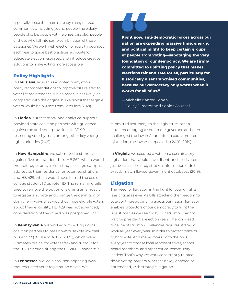especially those that harm already-marginalized communities, including young people, the elderly, people of color, people with felonies, disabled people, or those who fall into some combination of those categories. We work with election officials throughout each year to guide best practices, advocate for adequate election resources, and introduce creative solutions to make voting more accessible.

#### **Policy Highlights**

In **Louisiana**, legislators adopted many of our policy recommendations to improve bills related to voter list maintenance, which made it less likely (as compared with the original bill versions) that eligible voters would be purged from voter lists (2021).

In **Florida**, our testimony and analytical support provided state coalition partners with guidance against the anti-voter provisions in SB 90, restricting vote-by-mail, among other key voting rights priorities (2021).

In **New Hampshire**, we submitted testimony against five anti-student bills: HB 362, which would prohibit registrants from listing a college campus address as their residence for voter registration, and HB 429, which would have barred the use of a college student ID as voter ID. The remaining bills tried to remove the option of signing an affidavit to register and vote and change the definition of domicile in ways that would confuse eligible voters about their eligibility. HB 429 was not advanced; consideration of the others was postponed (2021).

In **Pennsylvania**, we worked with voting rights coalition partners to pass no-excuse vote-by-mail bills Act 77 (2019) and Act 12 (2020), which were ultimately critical for voter safety and turnout for the 2020 election during the COVID-19 pandemic.

In **Tennessee**, we led a coalition opposing laws that restricted voter registration drives. We

**Right now, anti-democratic forces across our nation are expending massive time, energy, and political might to keep certain groups of people from voting—sabotaging the very foundation of our democracy. We are firmly committed to uplifting policy that makes elections fair and safe for all, particularly for historically disenfranchised communities, because our democracy only works when it works for all of us."**

—Michelle Kanter Cohen, Policy Director and Senior Counsel

submitted testimony to the legislature, sent a letter encouraging a veto to the governor, and then challenged the law in Court. After a court-ordered injunction, the law was repealed in 2020 (2019).

In **Virginia**, we secured a veto on discriminatory legislation that would have disenfranchised voters just because their registration information didn't exactly match flawed government databases (2019).

#### **Litigation**

The need for litigation in the fight for voting rights is as critical as ever. As bills attacking the freedom to vote continue advancing across our nation, litigation enables protectors of our democracy to fight the unjust policies we see today. But litigation cannot wait for presidential election years. The long-lead timeline of litigation challenges requires strategic work all year, every year, in order to protect citizens' right to vote. And many voters go to the polls every year to choose local representatives, school board members, and other critical community leaders. That's why we work consistently to break down voting barriers, whether newly enacted or entrenched, with strategic litigation.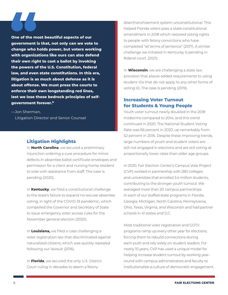**One of the most beautiful aspects of our government is that, not only can we vote to change who holds power, but voters working with organizations like ours can also defend their own right to cast a ballot by invoking the powers of the U.S. Constitution, federal law, and even state constitutions. In this era, litigation is as much about defense as it is about offense. We must press the courts to enforce their own longstanding red lines, lest we lose these bedrock principles of selfgovernment forever."**

—Jon Sherman, Litigation Director and Senior Counsel

#### **Litigation Highlights**

In **North Carolina**, we secured a preliminary injunction ordering a cure procedure for minor defects in absentee ballot certificate envelopes and permission for a client and nursing home resident to vote with assistance from staff. The case is pending (2020).

In **Kentucky**, we filed a constitutional challenge to the state's failure to expand no-excuse absentee voting, in light of the COVID-19 pandemic, which compelled the Governor and Secretary of State to issue emergency voter access rules for the November general election (2020).

In **Louisiana,** we filed a case challenging a voter registration law that discriminated against naturalized citizens, which was quickly repealed following our lawsuit (2016).

In **Florida**, we secured the only U.S. District Court ruling in decades to deem a felony

disenfranchisement system unconstitutional. This helped Florida voters pass a state constitutional amendment in 2018 which restored voting rights to people with felony convictions who have completed "all terms of sentence" (2017). A similar challenge we initiated in Kentucky is pending in federal court. (2021)

In **Wisconsin**, we are challenging a state law provision that places added requirements to using student IDs that do not apply to any other forms of voting ID. The case is pending (2019).

#### **Increasing Voter Turnout for Students & Young People**

Youth voter turnout nearly doubled in the 2018 midterms compared to 2014, and this trend continued in 2020. The National Student Voting Rate was 66 percent in 2020, up remarkably from 52 percent in 2016. Despite these improving trends, large numbers of youth and student voters are still not engaged in elections and are still voting at proportionally lower rates than older age groups.

In 2020, Fair Election Center's Campus Vote Project (CVP) worked in partnership with 280 colleges and universities that enrolled 3.4 million students, contributing to the stronger youth turnout. We averaged more than 20 campus partnerships in each of our staffed state programs in Florida, Georgia, Michigan, North Carolina, Pennsylvania, Ohio, Texas, Virginia, and Wisconsin and had partner schools in 41 states and D.C.

Most traditional voter registration and GOTV programs ramp up every other year for elections, forcing them to rebuild connections during each push and rely solely on student leaders. For nearly 10 years, CVP has used a unique model for helping increase student turnout by working yearround with campus administrators and faculty to institutionalize a culture of democratic engagement.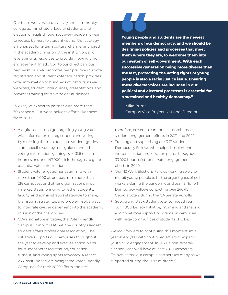Our team works with university and community college administrators, faculty, students, and election officials throughout every academic year to reduce barriers to student voting. Our strategy emphasizes long-term cultural change, anchored in the academic mission of the institution, and leveraging its resources to provide growing civic engagement. In addition to our direct campus partnerships, CVP promotes best practices for voter registration and student voter education, provides voter information to hundreds of institutions via webinars, student voter guides, presentations, and provides training for stakeholder audiences.

In 2022, we expect to partner with more than 300 schools. Our work includes efforts like these from 2020:

- **•** A digital ad campaign targeting young voters with information on registration and voting by directing them to our state student guides, state-specific vote by mail guides, and other voting information, gaining over 31.6 million impressions and 147,000 click-throughs to get to essential voter information.
- **•** Student voter engagement summits with more than 1,000 attendees from more than 216 campuses and other organizations in our nine key states, bringing together students, faculty, and administrators statewide to share, brainstorm, strategize, and problem-solve ways to integrate civic engagement into the academic mission of their campuses.
- **•** CVP's signature initiative, the Voter Friendly Campus, (run with NASPA, the country's largest student affairs professional association). The initiative supports our campuses throughout the year to develop and execute action plans for student voter registration, education, turnout, and voting rights advocacy. A record 235 institutions were designated Voter Friendly Campuses for their 2020 efforts and are,

**Young people and students are the newest members of our democracy, and we should be designing policies and processes that meet them where they are, to welcome them into our system of self-government. With each successive generation being more diverse than the last, protecting the voting rights of young people is also a racial justice issue. Ensuring these diverse voices are included in our political and electoral processes is essential for a sustained and healthy democracy."**

—Mike Burns, Campus Vote Project National Director

therefore, poised to continue comprehensive student engagement efforts in 2021 and 2022.

- **•** Training and supervising our 343 student Democracy Fellows who helped implement written election mobilization plans throughout 33,020 hours of student voter engagement efforts in 2020.
- **•** Our 112 Work Elections Fellows working solely to recruit young people to fill the urgent gaps of poll workers during the pandemic and our 43 Runoff Democracy Fellows contacting over 246,451 Georgia voters during the GA Senate Runoffs.
- **•** Supporting Black student voter turnout through our HBCU Legacy Initiative, informing and shaping additional voter support programs on campuses with large communities of students of color.

We look forward to continuing this momentum all year, every year with continued efforts to expand youth civic engagement. In 2021, a non-federalelection year, we'll have at least 200 Democracy Fellows across our campus partners (as many as we supported during the 2018 midterms).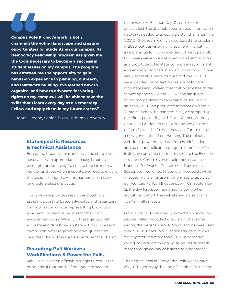**Campus Vote Project's work is both changing the voting landscape and creating opportunities for students on our campus. Its Democracy Fellowship program has given me the tools necessary to become a successful student leader on my campus. The program has afforded me the opportunity to gain hands-on experience in planning, outreach, and teamwork building. I've learned how to organize, and how to advocate for voting rights on my campus. I will be able to take the skills that I learn every day as a Democracy Fellow and apply them in my future career."**

—Jenna Greene, Senior, Texas Lutheran University

#### **State-specific Resources & Technical Assistance**

Equipping organizations and local and state-level advocates with appropriate capacity is not an overnight undertaking. To ensure that citizens can register and vote when it counts, we need to ensure the resources that make this happen are in place long before elections occur.

That's why we provide research and technical assistance to state-based advocates and organizers for mobilization groups representing Black, Latinx, AAPI, and Indigenous peoples for their civic engagement work. We equip these groups with accurate and digestible 50-state voting guides and community voter registration drive guides that help them help others register and cast their ballot.

#### **Recruiting Poll Workers: WorkElections & Power the Polls**

Many local election officials struggle to recruit the hundreds of thousands of poll workers needed

nationwide on Election Day. Often, election officials lack the attainable, centralized information networks needed to adequately staff their sites. The COVID-19 pandemic only exacerbated the problem in 2020, but our visionary investment in creating a new avenue for poll worker recruitment paid off. Four years earlier, we designed WorkElections.com as a prototype to facilitate poll worker recruitment, aggregating information about poll working in one easily-accessible place for the first time. In 2018, we expanded WorkElections as a pilot to cover nine states and worked to recruit businesses, social service agencies like the YMCA, and language minority organizations to expand its use. In 2019 and early 2020, we populated information from all 50 states. When the pandemic hit, we ramped up the effort, partnering with Civic Alliance, Comedy Central, MTV, Pizza to the Polls, and We Can Vote to form Power the Polls, a massive effort to recruit a new generation of poll workers. The project's website is powered by data from WorkElections and uses our application program interface (API). In July, we provided our information to the Election Assistance Commission to help them launch National Poll Worker Recruitment Day and in September, we joined forces with Facebook, which directed many of its users nationwide to apply as poll workers via WorkElections.com. On September 12, the day Facebook launched its poll worker recruitment effort, the website saw more than a quarter-million users.

From June 1 to November 3, more than one million people visited WorkElections.com. In that same period, the website's "Apply Now" buttons were used over 190,000 times. WorkElections student fellows directly recruited more than 11,000 prospective young poll workers to sign up, as well as hundreds more through county websites and other means.

The original goal for Power the Polls was to have 250,000 signups by the end of October. By the end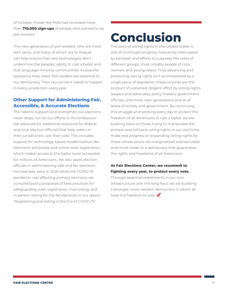of October, Power the Polls had recorded more than **710,000 sign-ups** of people who wanted to be poll workers.

This new generation of poll workers, who are more tech savvy, and many of whom are bi-lingual, can help ensure that new technologies don't undermine the peoples' ability to cast a ballot and that language-minority communities receive the assistance they need. Poll workers are essential to our democracy. Their recruitment needs to happen in every jurisdiction, every year.

#### **Other Support for Administering Fair, Accessible, & Accurate Elections**

The need to support and strengthen our elections never stops, nor do our efforts in this endeavour. We advocate for additional resources for federal and local election officials that help voters in their jurisdictions cast their vote. This includes support for technology-based modernization like electronic poll books and online voter registration, which makes access to the ballot more accessible for millions of Americans. We also assist election officials in administering safe and fair elections. For example, early in 2020 while the COVID-19 pandemic was affecting primary elections, we compiled policy proposals of best practices for safeguarding voter registration, mail voting, and in-person voting for the fall elections in our report "Registering and Voting in the Era of COVID-19."

### **Conclusion**

The story of voting rights in the United States is one of continued progress, frequently interrupted by backlash and efforts to suppress the votes of different groups, most notably people of color, women, and young voters. Truly advancing and protecting voting rights isn't accomplished by a single piece of legislation; these victories are the product of sustained, diligent effort by voting rights lawyers and advocates, policy makers, government officials, and more, over generations and at all levels of society and government. By continuing this struggle and working every day to protect the freedom of all Americans to cast a ballot, we are pushing back on those trying to manipulate the process and roll back voting rights in our own time, make real progress on expanding voting rights for those whose voices are marginalized and excluded, and move closer to a democracy that guarantees the rights and freedoms of all Americans.

#### **At Fair Elections Center, we recommit to fighting every year, to protect every vote.**  Through essential investments in our civic infrastructure over the long haul, we are building a stronger, more resilient democracy in which all have the freedom to vote.  $\bullet$